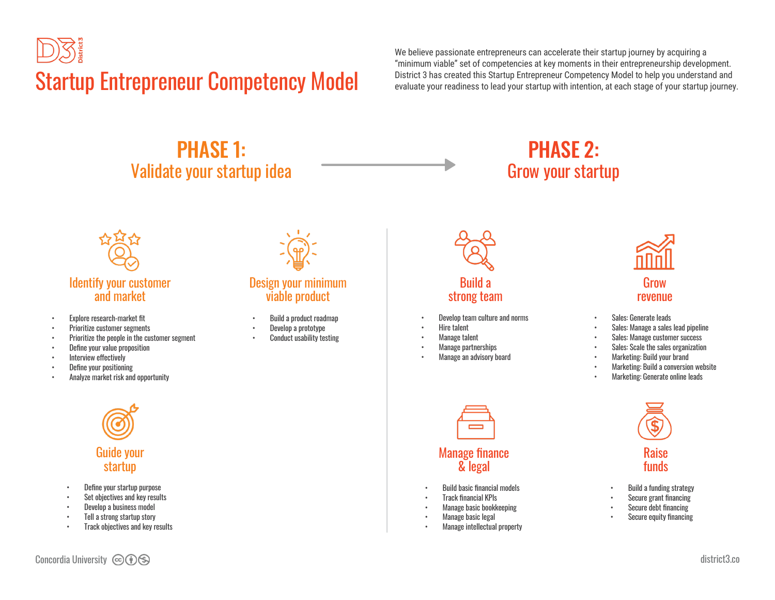

We believe passionate entrepreneurs can accelerate their startup journey by acquiring a "minimum viable" set of competencies at key moments in their entrepreneurship development.

## PHASE 1: Validate your startup idea

## PHASE 2: Grow your startup



- Explore research-market fit
- Prioritize customer segments
- Prioritize the people in the customer segment
- Define your value proposition
- Interview effectively
- Define your positioning
- Analyze market risk and opportunity



#### Design your minimum viable product

- Build a product roadmap
- Develop a prototype
- Conduct usability testing



#### Build a strong team

- Develop team culture and norms
- Hire talent
- Manage talent
- Manage partnerships
- Manage an advisory board

Manage finance & legal

• Build basic financial models • Track financial KPIs • Manage basic bookkeeping • Manage basic legal • Manage intellectual property



#### Grow revenue

- Sales: Generate leads
- Sales: Manage a sales lead pipeline
- Sales: Manage customer success
- Sales: Scale the sales organization
- Marketing: Build your brand
- Marketing: Build a conversion website
- Marketing: Generate online leads



- Build a funding strategy
- Secure grant financing
- Secure debt financing
- Secure equity financing
- Guide your startup
- Define your startup purpose
- Set objectives and key results
- Develop a business model
- Tell a strong startup story
- Track objectives and key results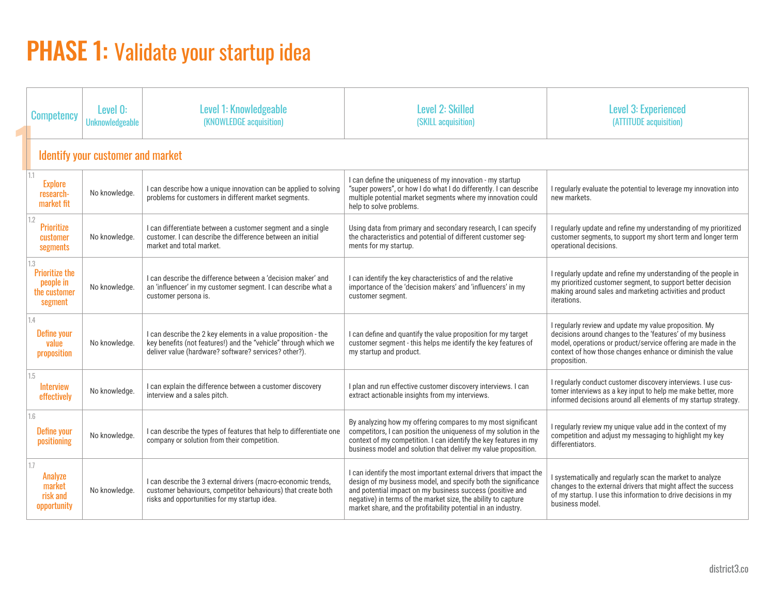## PHASE 1: Validate your startup idea

|  | <b>Competency</b>                                                    | Level 0:<br><b>Unknowledgeable</b> | Level 1: Knowledgeable<br>(KNOWLEDGE acquisition)                                                                                                                                          | <b>Level 2: Skilled</b><br>(SKILL acquisition)                                                                                                                                                                                                                                                                                      | <b>Level 3: Experienced</b><br>(ATTITUDE acquisition)                                                                                                                                                                                                              |  |
|--|----------------------------------------------------------------------|------------------------------------|--------------------------------------------------------------------------------------------------------------------------------------------------------------------------------------------|-------------------------------------------------------------------------------------------------------------------------------------------------------------------------------------------------------------------------------------------------------------------------------------------------------------------------------------|--------------------------------------------------------------------------------------------------------------------------------------------------------------------------------------------------------------------------------------------------------------------|--|
|  | <b>Identify your customer and market</b>                             |                                    |                                                                                                                                                                                            |                                                                                                                                                                                                                                                                                                                                     |                                                                                                                                                                                                                                                                    |  |
|  | 1.1<br><b>Explore</b><br>research-<br>market fit                     | No knowledge.                      | I can describe how a unique innovation can be applied to solving<br>problems for customers in different market segments.                                                                   | I can define the uniqueness of my innovation - my startup<br>"super powers", or how I do what I do differently. I can describe<br>multiple potential market segments where my innovation could<br>help to solve problems.                                                                                                           | I regularly evaluate the potential to leverage my innovation into<br>new markets.                                                                                                                                                                                  |  |
|  | 1.2<br><b>Prioritize</b><br>customer<br>segments                     | No knowledge.                      | I can differentiate between a customer segment and a single<br>customer. I can describe the difference between an initial<br>market and total market.                                      | Using data from primary and secondary research, I can specify<br>the characteristics and potential of different customer seg-<br>ments for my startup.                                                                                                                                                                              | I regularly update and refine my understanding of my prioritized<br>customer segments, to support my short term and longer term<br>operational decisions.                                                                                                          |  |
|  | 1.3<br><b>Prioritize the</b><br>people in<br>the customer<br>segment | No knowledge.                      | I can describe the difference between a 'decision maker' and<br>an 'influencer' in my customer segment. I can describe what a<br>customer persona is.                                      | I can identify the key characteristics of and the relative<br>importance of the 'decision makers' and 'influencers' in my<br>customer segment.                                                                                                                                                                                      | I regularly update and refine my understanding of the people in<br>my prioritized customer segment, to support better decision<br>making around sales and marketing activities and product<br>iterations.                                                          |  |
|  | 1.4<br>Define your<br>value<br>proposition                           | No knowledge.                      | I can describe the 2 key elements in a value proposition - the<br>key benefits (not features!) and the "vehicle" through which we<br>deliver value (hardware? software? services? other?). | I can define and quantify the value proposition for my target<br>customer segment - this helps me identify the key features of<br>my startup and product.                                                                                                                                                                           | I regularly review and update my value proposition. My<br>decisions around changes to the 'features' of my business<br>model, operations or product/service offering are made in the<br>context of how those changes enhance or diminish the value<br>proposition. |  |
|  | 1.5<br><b>Interview</b><br>effectively                               | No knowledge.                      | I can explain the difference between a customer discovery<br>interview and a sales pitch.                                                                                                  | I plan and run effective customer discovery interviews. I can<br>extract actionable insights from my interviews.                                                                                                                                                                                                                    | I regularly conduct customer discovery interviews. I use cus-<br>tomer interviews as a key input to help me make better, more<br>informed decisions around all elements of my startup strategy.                                                                    |  |
|  | 1.6<br><b>Define your</b><br>positioning                             | No knowledge.                      | I can describe the types of features that help to differentiate one<br>company or solution from their competition.                                                                         | By analyzing how my offering compares to my most significant<br>competitors, I can position the uniqueness of my solution in the<br>context of my competition. I can identify the key features in my<br>business model and solution that deliver my value proposition.                                                              | I regularly review my unique value add in the context of my<br>competition and adjust my messaging to highlight my key<br>differentiators.                                                                                                                         |  |
|  | 1.7<br>Analyze<br>market<br>risk and<br>opportunity                  | No knowledge.                      | I can describe the 3 external drivers (macro-economic trends,<br>customer behaviours, competitor behaviours) that create both<br>risks and opportunities for my startup idea.              | I can identify the most important external drivers that impact the<br>design of my business model, and specify both the significance<br>and potential impact on my business success (positive and<br>negative) in terms of the market size, the ability to capture<br>market share, and the profitability potential in an industry. | I systematically and regularly scan the market to analyze<br>changes to the external drivers that might affect the success<br>of my startup. I use this information to drive decisions in my<br>business model.                                                    |  |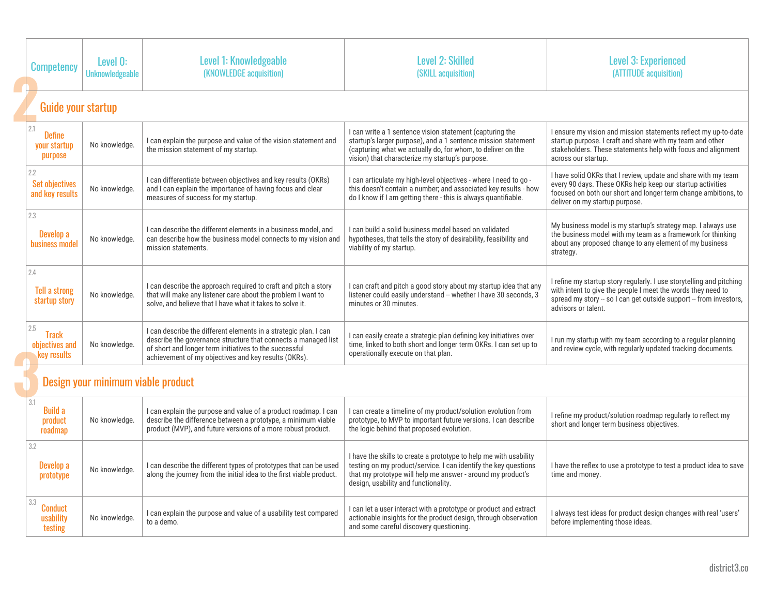|  | <b>Competency</b>                                    | Level 0:<br><b>Unknowledgeable</b> | Level 1: Knowledgeable<br>(KNOWLEDGE acquisition)                                                                                                                                                                                                    | <b>Level 2: Skilled</b><br>(SKILL acquisition)                                                                                                                                                                                              | <b>Level 3: Experienced</b><br>(ATTITUDE acquisition)                                                                                                                                                                             |  |  |  |
|--|------------------------------------------------------|------------------------------------|------------------------------------------------------------------------------------------------------------------------------------------------------------------------------------------------------------------------------------------------------|---------------------------------------------------------------------------------------------------------------------------------------------------------------------------------------------------------------------------------------------|-----------------------------------------------------------------------------------------------------------------------------------------------------------------------------------------------------------------------------------|--|--|--|
|  |                                                      | <b>Guide your startup</b>          |                                                                                                                                                                                                                                                      |                                                                                                                                                                                                                                             |                                                                                                                                                                                                                                   |  |  |  |
|  | 2.1<br><b>Define</b><br>your startup<br>purpose      | No knowledge.                      | I can explain the purpose and value of the vision statement and<br>the mission statement of my startup.                                                                                                                                              | I can write a 1 sentence vision statement (capturing the<br>startup's larger purpose), and a 1 sentence mission statement<br>(capturing what we actually do, for whom, to deliver on the<br>vision) that characterize my startup's purpose. | I ensure my vision and mission statements reflect my up-to-date<br>startup purpose. I craft and share with my team and other<br>stakeholders. These statements help with focus and alignment<br>across our startup.               |  |  |  |
|  | 2.2<br><b>Set objectives</b><br>and key results      | No knowledge.                      | I can differentiate between objectives and key results (OKRs)<br>and I can explain the importance of having focus and clear<br>measures of success for my startup.                                                                                   | I can articulate my high-level objectives - where I need to go -<br>this doesn't contain a number; and associated key results - how<br>do I know if I am getting there - this is always quantifiable.                                       | I have solid OKRs that I review, update and share with my team<br>every 90 days. These OKRs help keep our startup activities<br>focused on both our short and longer term change ambitions, to<br>deliver on my startup purpose.  |  |  |  |
|  | 2.3<br>Develop a<br><b>business model</b>            | No knowledge.                      | I can describe the different elements in a business model, and<br>can describe how the business model connects to my vision and<br>mission statements.                                                                                               | I can build a solid business model based on validated<br>hypotheses, that tells the story of desirability, feasibility and<br>viability of my startup.                                                                                      | My business model is my startup's strategy map. I always use<br>the business model with my team as a framework for thinking<br>about any proposed change to any element of my business<br>strategy.                               |  |  |  |
|  | 2.4<br><b>Tell a strong</b><br>startup story         | No knowledge.                      | I can describe the approach required to craft and pitch a story<br>that will make any listener care about the problem I want to<br>solve, and believe that I have what it takes to solve it.                                                         | I can craft and pitch a good story about my startup idea that any<br>listener could easily understand -- whether I have 30 seconds, 3<br>minutes or 30 minutes.                                                                             | I refine my startup story regularly. I use storytelling and pitching<br>with intent to give the people I meet the words they need to<br>spread my story -- so I can get outside support -- from investors,<br>advisors or talent. |  |  |  |
|  | 2.5<br><b>Track</b><br>objectives and<br>key results | No knowledge.                      | I can describe the different elements in a strategic plan. I can<br>describe the governance structure that connects a managed list<br>of short and longer term initiatives to the successful<br>achievement of my objectives and key results (OKRs). | I can easily create a strategic plan defining key initiatives over<br>time, linked to both short and longer term OKRs. I can set up to<br>operationally execute on that plan.                                                               | I run my startup with my team according to a regular planning<br>and review cycle, with regularly updated tracking documents.                                                                                                     |  |  |  |
|  | Design your minimum viable product                   |                                    |                                                                                                                                                                                                                                                      |                                                                                                                                                                                                                                             |                                                                                                                                                                                                                                   |  |  |  |
|  | 3.1<br><b>Build a</b><br>product<br>roadmap          | No knowledge.                      | I can explain the purpose and value of a product roadmap. I can<br>describe the difference between a prototype, a minimum viable<br>product (MVP), and future versions of a more robust product.                                                     | I can create a timeline of my product/solution evolution from<br>prototype, to MVP to important future versions. I can describe<br>the logic behind that proposed evolution.                                                                | I refine my product/solution roadmap regularly to reflect my<br>short and longer term business objectives.                                                                                                                        |  |  |  |
|  | 3.2<br>Develop a<br>prototype                        | No knowledge.                      | I can describe the different types of prototypes that can be used<br>along the journey from the initial idea to the first viable product.                                                                                                            | I have the skills to create a prototype to help me with usability<br>testing on my product/service. I can identify the key questions<br>that my prototype will help me answer - around my product's<br>design, usability and functionality. | I have the reflex to use a prototype to test a product idea to save<br>time and money.                                                                                                                                            |  |  |  |
|  | 3.3<br>Conduct<br>usability<br>testing               | No knowledge.                      | I can explain the purpose and value of a usability test compared<br>to a demo.                                                                                                                                                                       | I can let a user interact with a prototype or product and extract<br>actionable insights for the product design, through observation<br>and some careful discovery questioning.                                                             | I always test ideas for product design changes with real 'users'<br>before implementing those ideas.                                                                                                                              |  |  |  |

**2**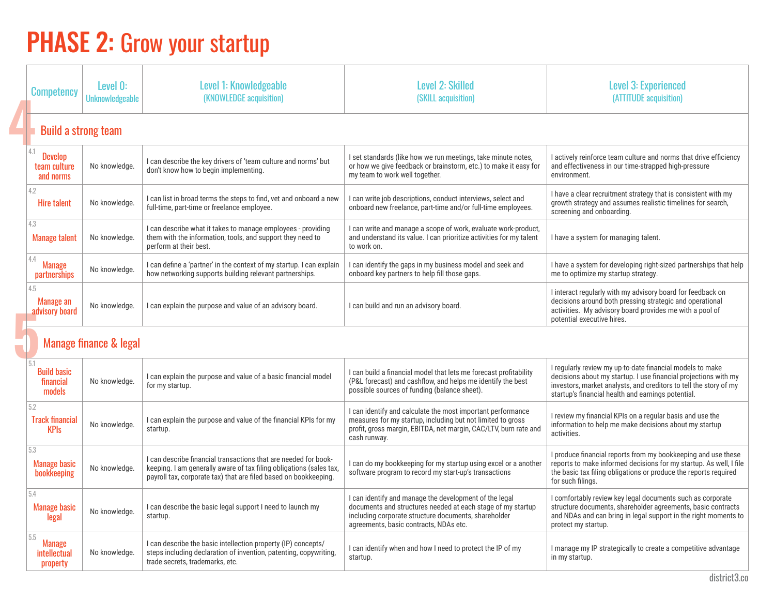# **PHASE 2: Grow your startup**

|                            | <b>Competency</b>                                  | Level 0:<br><b>Unknowledgeable</b> | Level 1: Knowledgeable<br>(KNOWLEDGE acquisition)                                                                                                                                                          | <b>Level 2: Skilled</b><br>(SKILL acquisition)                                                                                                                                                                          | <b>Level 3: Experienced</b><br>(ATTITUDE acquisition)                                                                                                                                                                                                   |
|----------------------------|----------------------------------------------------|------------------------------------|------------------------------------------------------------------------------------------------------------------------------------------------------------------------------------------------------------|-------------------------------------------------------------------------------------------------------------------------------------------------------------------------------------------------------------------------|---------------------------------------------------------------------------------------------------------------------------------------------------------------------------------------------------------------------------------------------------------|
| <b>Build a strong team</b> |                                                    |                                    |                                                                                                                                                                                                            |                                                                                                                                                                                                                         |                                                                                                                                                                                                                                                         |
|                            | 4.1<br><b>Develop</b><br>team culture<br>and norms | No knowledge.                      | I can describe the key drivers of 'team culture and norms' but<br>don't know how to begin implementing.                                                                                                    | I set standards (like how we run meetings, take minute notes,<br>or how we give feedback or brainstorm, etc.) to make it easy for<br>my team to work well together.                                                     | I actively reinforce team culture and norms that drive efficiency<br>and effectiveness in our time-strapped high-pressure<br>environment.                                                                                                               |
|                            | 4.2<br><b>Hire talent</b>                          | No knowledge.                      | I can list in broad terms the steps to find, vet and onboard a new<br>full-time, part-time or freelance employee.                                                                                          | I can write job descriptions, conduct interviews, select and<br>onboard new freelance, part-time and/or full-time employees.                                                                                            | I have a clear recruitment strategy that is consistent with my<br>growth strategy and assumes realistic timelines for search,<br>screening and onboarding.                                                                                              |
|                            | 4.3<br><b>Manage talent</b>                        | No knowledge.                      | I can describe what it takes to manage employees - providing<br>them with the information, tools, and support they need to<br>perform at their best.                                                       | I can write and manage a scope of work, evaluate work-product,<br>and understand its value. I can prioritize activities for my talent<br>to work on.                                                                    | I have a system for managing talent.                                                                                                                                                                                                                    |
|                            | 4.4<br><b>Manage</b><br><b>partnerships</b>        | No knowledge.                      | I can define a 'partner' in the context of my startup. I can explain<br>how networking supports building relevant partnerships.                                                                            | I can identify the gaps in my business model and seek and<br>onboard key partners to help fill those gaps.                                                                                                              | I have a system for developing right-sized partnerships that help<br>me to optimize my startup strategy.                                                                                                                                                |
|                            | 4.5<br>Manage an<br>advisory board                 | No knowledge.                      | I can explain the purpose and value of an advisory board.                                                                                                                                                  | I can build and run an advisory board.                                                                                                                                                                                  | I interact regularly with my advisory board for feedback on<br>decisions around both pressing strategic and operational<br>activities. My advisory board provides me with a pool of<br>potential executive hires.                                       |
|                            |                                                    | <b>Manage finance &amp; legal</b>  |                                                                                                                                                                                                            |                                                                                                                                                                                                                         |                                                                                                                                                                                                                                                         |
|                            | 5.1<br><b>Build basic</b><br>financial<br>models   | No knowledge.                      | I can explain the purpose and value of a basic financial model<br>for my startup.                                                                                                                          | I can build a financial model that lets me forecast profitability<br>(P&L forecast) and cashflow, and helps me identify the best<br>possible sources of funding (balance sheet).                                        | I regularly review my up-to-date financial models to make<br>decisions about my startup. I use financial projections with my<br>investors, market analysts, and creditors to tell the story of my<br>startup's financial health and earnings potential. |
|                            | 5.2<br><b>Track financial</b><br><b>KPIs</b>       | No knowledge.                      | I can explain the purpose and value of the financial KPIs for my<br>startup.                                                                                                                               | I can identify and calculate the most important performance<br>measures for my startup, including but not limited to gross<br>profit, gross margin, EBITDA, net margin, CAC/LTV, burn rate and<br>cash runway.          | I review my financial KPIs on a regular basis and use the<br>information to help me make decisions about my startup<br>activities.                                                                                                                      |
|                            | 5.3<br><b>Manage basic</b><br>bookkeeping          | No knowledge.                      | I can describe financial transactions that are needed for book-<br>keeping. I am generally aware of tax filing obligations (sales tax)<br>payroll tax, corporate tax) that are filed based on bookkeeping. | can do my bookkeeping for my startup using excel or a another<br>software program to record my start-up's transactions                                                                                                  | I produce financial reports from my bookkeeping and use these<br>reports to make informed decisions for my startup. As well, I file<br>the basic tax filing obligations or produce the reports required<br>for such filings.                            |
|                            | 5.4<br><b>Manage basic</b><br>legal                | No knowledge.                      | I can describe the basic legal support I need to launch my<br>startup.                                                                                                                                     | I can identify and manage the development of the legal<br>documents and structures needed at each stage of my startup<br>including corporate structure documents, shareholder<br>agreements, basic contracts, NDAs etc. | I comfortably review key legal documents such as corporate<br>structure documents, shareholder agreements, basic contracts<br>and NDAs and can bring in legal support in the right moments to<br>protect my startup.                                    |
|                            | 5.5<br><b>Manage</b><br>intellectual<br>property   | No knowledge.                      | I can describe the basic intellection property (IP) concepts/<br>steps including declaration of invention, patenting, copywriting,<br>trade secrets, trademarks, etc.                                      | I can identify when and how I need to protect the IP of my<br>startup.                                                                                                                                                  | I manage my IP strategically to create a competitive advantage<br>in my startup.                                                                                                                                                                        |